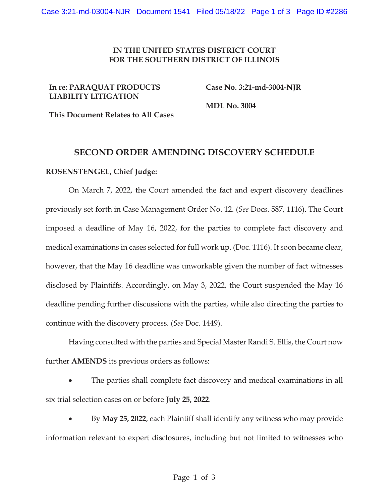## **IN THE UNITED STATES DISTRICT COURT FOR THE SOUTHERN DISTRICT OF ILLINOIS**

**In re: PARAQUAT PRODUCTS LIABILITY LITIGATION** 

 **Case No. 3:21-md-3004-NJR** 

 **MDL No. 3004** 

**This Document Relates to All Cases** 

## **SECOND ORDER AMENDING DISCOVERY SCHEDULE**

## **ROSENSTENGEL, Chief Judge:**

On March 7, 2022, the Court amended the fact and expert discovery deadlines previously set forth in Case Management Order No. 12. (*See* Docs. 587, 1116). The Court imposed a deadline of May 16, 2022, for the parties to complete fact discovery and medical examinations in cases selected for full work up. (Doc. 1116). It soon became clear, however, that the May 16 deadline was unworkable given the number of fact witnesses disclosed by Plaintiffs. Accordingly, on May 3, 2022, the Court suspended the May 16 deadline pending further discussions with the parties, while also directing the parties to continue with the discovery process. (*See* Doc. 1449).

 Having consulted with the parties and Special Master Randi S. Ellis, the Court now further **AMENDS** its previous orders as follows:

The parties shall complete fact discovery and medical examinations in all six trial selection cases on or before **July 25, 2022**.

x By **May 25, 2022**, each Plaintiff shall identify any witness who may provide information relevant to expert disclosures, including but not limited to witnesses who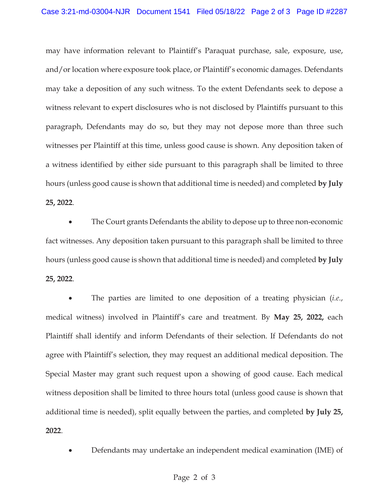may have information relevant to Plaintiff's Paraquat purchase, sale, exposure, use, and/or location where exposure took place, or Plaintiff's economic damages. Defendants may take a deposition of any such witness. To the extent Defendants seek to depose a witness relevant to expert disclosures who is not disclosed by Plaintiffs pursuant to this paragraph, Defendants may do so, but they may not depose more than three such witnesses per Plaintiff at this time, unless good cause is shown. Any deposition taken of a witness identified by either side pursuant to this paragraph shall be limited to three hours (unless good cause is shown that additional time is needed) and completed **by July 25, 2022**.

• The Court grants Defendants the ability to depose up to three non-economic fact witnesses. Any deposition taken pursuant to this paragraph shall be limited to three hours (unless good cause is shown that additional time is needed) and completed **by July 25, 2022**.

x The parties are limited to one deposition of a treating physician (*i.e.*, medical witness) involved in Plaintiff's care and treatment. By **May 25, 2022,** each Plaintiff shall identify and inform Defendants of their selection. If Defendants do not agree with Plaintiff's selection, they may request an additional medical deposition. The Special Master may grant such request upon a showing of good cause. Each medical witness deposition shall be limited to three hours total (unless good cause is shown that additional time is needed), split equally between the parties, and completed **by July 25, 2022**.

• Defendants may undertake an independent medical examination (IME) of